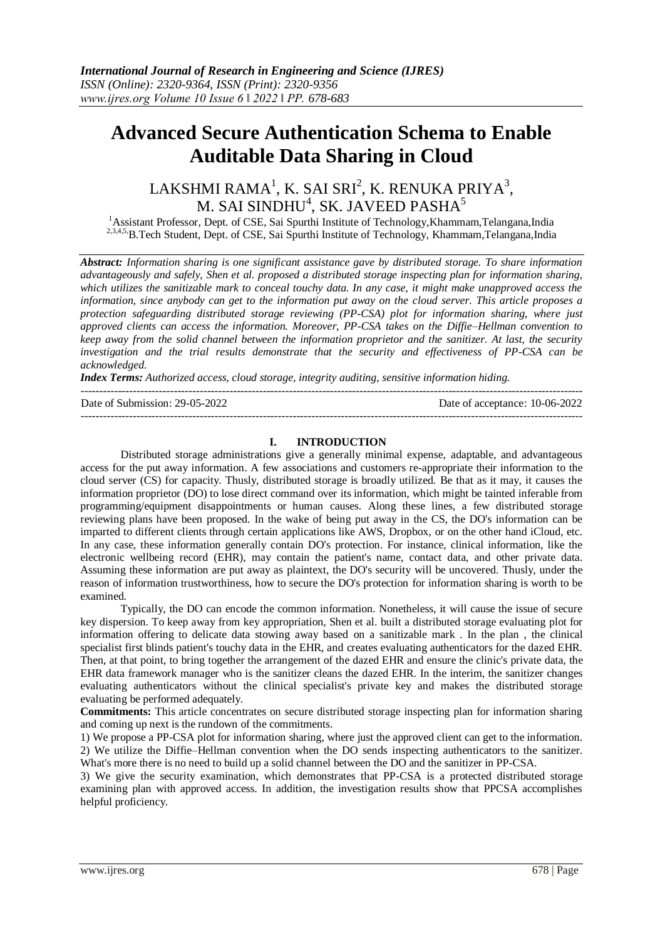# **Advanced Secure Authentication Schema to Enable Auditable Data Sharing in Cloud**

## $\mathsf{LAKSHMI}\ \mathsf{RAMA}^1\ \mathsf{K}\ \mathsf{SAI}\ \mathsf{SRI}^2\ \mathsf{K}\ \mathsf{RENUKA}\ \mathsf{PRIYA}^3\ \mathsf{K}$ M. SAI SINDHU $^4$ , SK. JAVEED PASHA $^5$

<sup>1</sup> Assistant Professor, Dept. of CSE, Sai Spurthi Institute of Technology, Khammam, Telangana, India <sup>2,3,4,5</sup>,B.Tech Student, Dept. of CSE, Sai Spurthi Institute of Technology, Khammam,Telangana,India

*Abstract: Information sharing is one significant assistance gave by distributed storage. To share information advantageously and safely, Shen et al. proposed a distributed storage inspecting plan for information sharing, which utilizes the sanitizable mark to conceal touchy data. In any case, it might make unapproved access the information, since anybody can get to the information put away on the cloud server. This article proposes a protection safeguarding distributed storage reviewing (PP-CSA) plot for information sharing, where just approved clients can access the information. Moreover, PP-CSA takes on the Diffie–Hellman convention to keep away from the solid channel between the information proprietor and the sanitizer. At last, the security investigation and the trial results demonstrate that the security and effectiveness of PP-CSA can be acknowledged.*

*Index Terms: Authorized access, cloud storage, integrity auditing, sensitive information hiding.*

--------------------------------------------------------------------------------------------------------------------------------------- Date of Submission: 29-05-2022 Date of acceptance: 10-06-2022 ---------------------------------------------------------------------------------------------------------------------------------------

#### **I. INTRODUCTION**

Distributed storage administrations give a generally minimal expense, adaptable, and advantageous access for the put away information. A few associations and customers re-appropriate their information to the cloud server (CS) for capacity. Thusly, distributed storage is broadly utilized. Be that as it may, it causes the information proprietor (DO) to lose direct command over its information, which might be tainted inferable from programming/equipment disappointments or human causes. Along these lines, a few distributed storage reviewing plans have been proposed. In the wake of being put away in the CS, the DO's information can be imparted to different clients through certain applications like AWS, Dropbox, or on the other hand iCloud, etc. In any case, these information generally contain DO's protection. For instance, clinical information, like the electronic wellbeing record (EHR), may contain the patient's name, contact data, and other private data. Assuming these information are put away as plaintext, the DO's security will be uncovered. Thusly, under the reason of information trustworthiness, how to secure the DO's protection for information sharing is worth to be examined.

Typically, the DO can encode the common information. Nonetheless, it will cause the issue of secure key dispersion. To keep away from key appropriation, Shen et al. built a distributed storage evaluating plot for information offering to delicate data stowing away based on a sanitizable mark . In the plan , the clinical specialist first blinds patient's touchy data in the EHR, and creates evaluating authenticators for the dazed EHR. Then, at that point, to bring together the arrangement of the dazed EHR and ensure the clinic's private data, the EHR data framework manager who is the sanitizer cleans the dazed EHR. In the interim, the sanitizer changes evaluating authenticators without the clinical specialist's private key and makes the distributed storage evaluating be performed adequately.

**Commitments:** This article concentrates on secure distributed storage inspecting plan for information sharing and coming up next is the rundown of the commitments.

1) We propose a PP-CSA plot for information sharing, where just the approved client can get to the information. 2) We utilize the Diffie–Hellman convention when the DO sends inspecting authenticators to the sanitizer. What's more there is no need to build up a solid channel between the DO and the sanitizer in PP-CSA.

3) We give the security examination, which demonstrates that PP-CSA is a protected distributed storage examining plan with approved access. In addition, the investigation results show that PPCSA accomplishes helpful proficiency.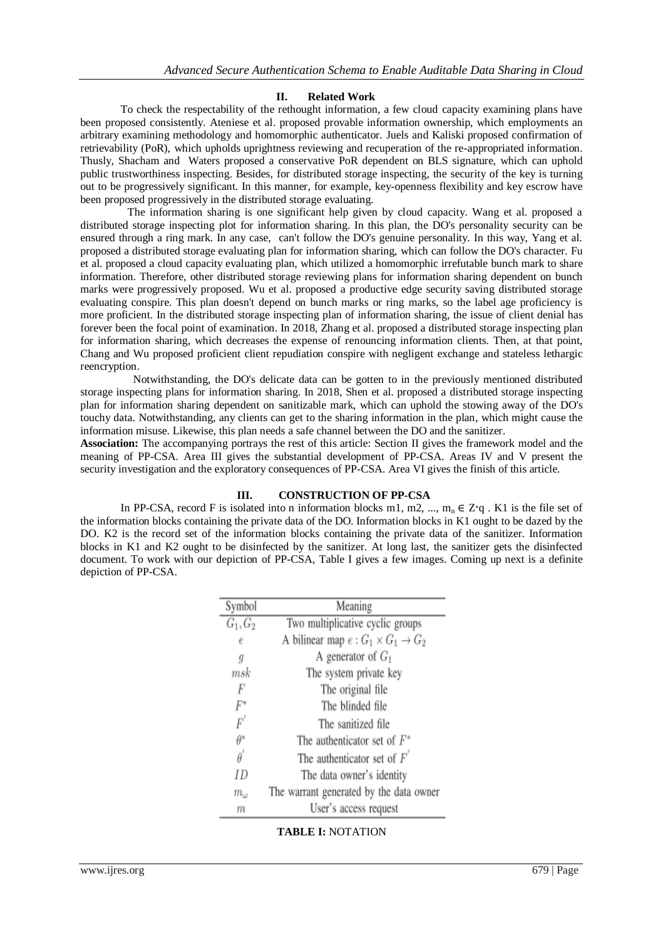#### **II. Related Work**

To check the respectability of the rethought information, a few cloud capacity examining plans have been proposed consistently. Ateniese et al. proposed provable information ownership, which employments an arbitrary examining methodology and homomorphic authenticator. Juels and Kaliski proposed confirmation of retrievability (PoR), which upholds uprightness reviewing and recuperation of the re-appropriated information. Thusly, Shacham and Waters proposed a conservative PoR dependent on BLS signature, which can uphold public trustworthiness inspecting. Besides, for distributed storage inspecting, the security of the key is turning out to be progressively significant. In this manner, for example, key-openness flexibility and key escrow have been proposed progressively in the distributed storage evaluating.

 The information sharing is one significant help given by cloud capacity. Wang et al. proposed a distributed storage inspecting plot for information sharing. In this plan, the DO's personality security can be ensured through a ring mark. In any case, can't follow the DO's genuine personality. In this way, Yang et al. proposed a distributed storage evaluating plan for information sharing, which can follow the DO's character. Fu et al. proposed a cloud capacity evaluating plan, which utilized a homomorphic irrefutable bunch mark to share information. Therefore, other distributed storage reviewing plans for information sharing dependent on bunch marks were progressively proposed. Wu et al. proposed a productive edge security saving distributed storage evaluating conspire. This plan doesn't depend on bunch marks or ring marks, so the label age proficiency is more proficient. In the distributed storage inspecting plan of information sharing, the issue of client denial has forever been the focal point of examination. In 2018, Zhang et al. proposed a distributed storage inspecting plan for information sharing, which decreases the expense of renouncing information clients. Then, at that point, Chang and Wu proposed proficient client repudiation conspire with negligent exchange and stateless lethargic reencryption.

 Notwithstanding, the DO's delicate data can be gotten to in the previously mentioned distributed storage inspecting plans for information sharing. In 2018, Shen et al. proposed a distributed storage inspecting plan for information sharing dependent on sanitizable mark, which can uphold the stowing away of the DO's touchy data. Notwithstanding, any clients can get to the sharing information in the plan, which might cause the information misuse. Likewise, this plan needs a safe channel between the DO and the sanitizer.

**Association:** The accompanying portrays the rest of this article: Section II gives the framework model and the meaning of PP-CSA. Area III gives the substantial development of PP-CSA. Areas IV and V present the security investigation and the exploratory consequences of PP-CSA. Area VI gives the finish of this article.

### **III. CONSTRUCTION OF PP-CSA**

In PP-CSA, record F is isolated into n information blocks m1, m2, ..., m<sub>n</sub>  $\in \mathbb{Z}^*q$ . K1 is the file set of the information blocks containing the private data of the DO. Information blocks in K1 ought to be dazed by the DO. K2 is the record set of the information blocks containing the private data of the sanitizer. Information blocks in K1 and K2 ought to be disinfected by the sanitizer. At long last, the sanitizer gets the disinfected document. To work with our depiction of PP-CSA, Table I gives a few images. Coming up next is a definite depiction of PP-CSA.

| Symbol            | Meaning                                            |
|-------------------|----------------------------------------------------|
| $G_1, G_2$        | Two multiplicative cyclic groups                   |
| е                 | A bilinear map $e: G_1 \times G_1 \rightarrow G_2$ |
| ŷ                 | A generator of $G_1$                               |
| $\it{msk}$        | The system private key                             |
| F                 | The original file                                  |
| F*                | The blinded file                                   |
| $\boldsymbol{F}'$ | The sanitized file                                 |
| $\theta^*$        | The authenticator set of $F^*$                     |
| $\theta^{'}$      | The authenticator set of $F'$                      |
| ID                | The data owner's identity                          |
| $m_{\omega}$      | The warrant generated by the data owner            |
| $^{\eta}$         | User's access request                              |

### **TABLE I:** NOTATION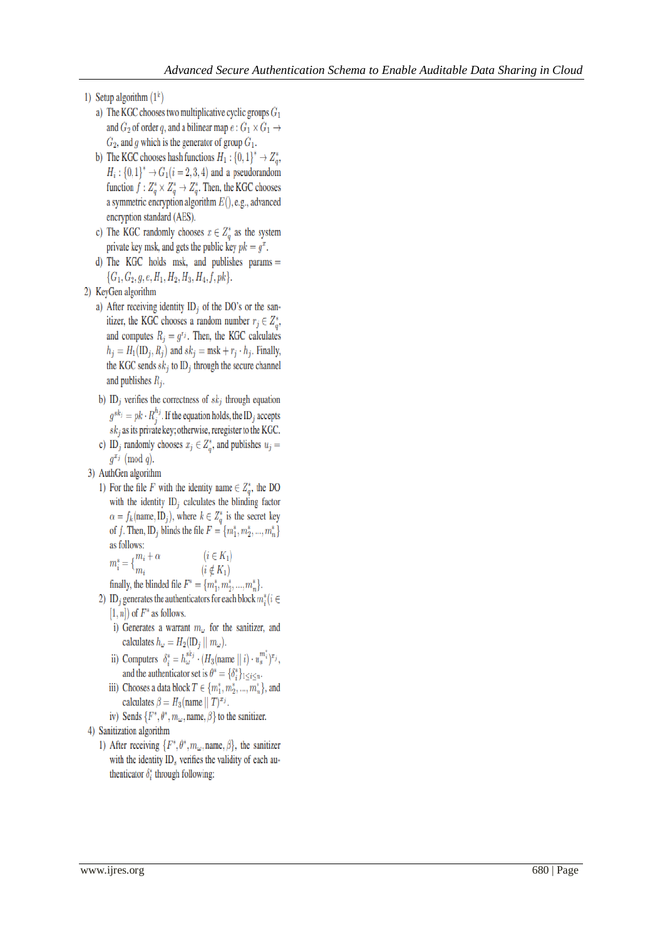- 1) Setup algorithm  $(1^k)$ 
	- a) The KGC chooses two multiplicative cyclic groups  $G_1$ and  $G_2$  of order q, and a bilinear map  $e: G_1 \times G_1 \rightarrow$  $G_2$ , and g which is the generator of group  $G_1$ .
	- b) The KGC chooses hash functions  $H_1: \{0,1\}^* \to Z^*_\sigma$ ,  $H_i: \{0,1\}^* \to G_1(i = 2,3,4)$  and a pseudorandom function  $f: Z_q^* \times Z_q^* \to Z_q^*$ . Then, the KGC chooses a symmetric encryption algorithm  $E($ ), e.g., advanced encryption standard (AES).
	- c) The KGC randomly chooses  $x \in Z_q^*$  as the system private key msk, and gets the public key  $pk = g<sup>x</sup>$ .
	- d) The KGC holds msk, and publishes params  $=$  $\{G_1, G_2, g, e, H_1, H_2, H_3, H_4, f, pk\}.$
- 2) KeyGen algorithm
	- a) After receiving identity  $ID_i$  of the DO's or the sanitizer, the KGC chooses a random number  $r_j \in Z_n^*$ , and computes  $R_i = g^{r_i}$ . Then, the KGC calculates  $h_j = H_1(ID_j, R_j)$  and  $sk_j = msk + r_j \cdot h_j$ . Finally, the KGC sends  $sk_i$  to ID<sub>i</sub> through the secure channel and publishes  $R_i$ .
	- b) ID<sub>j</sub> verifies the correctness of  $sk_j$  through equation  $g^{sk_j} = p k \cdot R_i^{h_j}$ . If the equation holds, the ID<sub>j</sub> accepts  $sk_j$  as its private key; otherwise, reregister to the KGC.
	- c) ID<sub>j</sub> randomly chooses  $x_j \in Z^*_n$ , and publishes  $u_j =$  $g^{x_j} \pmod{q}$ .
- 3) AuthGen algorithm
	- 1) For the file F with the identity name  $\in Z^*_{\sigma}$ , the DO with the identity  $ID_j$  calculates the blinding factor  $\alpha = f_k(\text{name}, \text{ID}_j)$ , where  $k \in Z_q^*$  is the secret key of f. Then, ID<sub>i</sub> blinds the file  $F = \{m_1^*, m_2^*, ..., m_n^*\}$ as follows:  $m_i^* = \xi^{m_i + \alpha}$  $(i \in K_1)$

$$
m_i^* = \{m_i \qquad (i \notin K_1)
$$

finally, the blinded file  $F^* = \{m_1^*, m_2^*, ..., m_n^*\}.$ 

- 2) ID<sub>i</sub> generates the authenticators for each block  $m_i^*(i \in$  $[1, n]$  of  $F^*$  as follows.
	- i) Generates a warrant  $m_{\omega}$  for the sanitizer, and calculates  $h_{\omega} = H_2(\mathbb{ID}_j \parallel m_{\omega}).$
	- ii) Computers  $\delta_i^* = h_{\omega}^{sk_j} \cdot (H_3(\text{name} \parallel i) \cdot u_s^{m_i^*})^{x_j},$ and the authenticator set is  $\theta^* = {\delta_i^*}_{1 \le i \le n}$ .
	- iii) Chooses a data block  $T \in \{m_1^*, m_2^*, ..., m_n^*\}$ , and calculates  $\beta = H_3$ (name  $||T|^{x_j}$ .
	- iv) Sends  $\{F^*, \theta^*, m_\omega,$  name,  $\beta\}$  to the sanitizer.
- 4) Sanitization algorithm
	- 1) After receiving  $\{F^*, \theta^*, m_\omega, \text{name}, \beta\}$ , the sanitizer with the identity  $ID<sub>s</sub>$  verifies the validity of each authenticator  $\delta^*$ ; through following: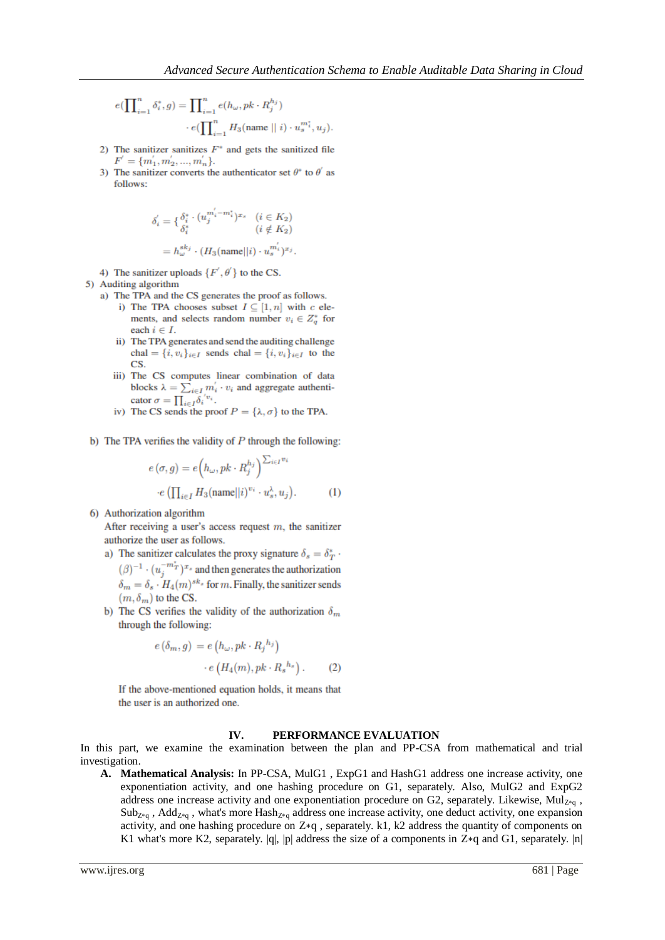$$
\begin{split} e(\prod\nolimits_{i=1}^n \delta_i^*, g) &= \prod\nolimits_{i=1}^n e(h_\omega, pk \cdot R_j^{h_j}) \\ &\qquad \cdot e(\prod\nolimits_{i=1}^n H_3(\text{name} \mid \mid i) \cdot u_s^{m_i^*}, u_j). \end{split}
$$

- 2) The sanitizer sanitizes  $F^*$  and gets the sanitized file  $F' = \{m'_1, m'_2, ..., m'_n\}.$
- 3) The sanitizer converts the authenticator set  $\theta^*$  to  $\theta'$  as follows:

$$
\begin{split} \delta_i^{'}&=\{\frac{\delta_i^*\cdot(u_j^{m_i^{'}-m_i^*)^{x_s}}{(i\notin K_2)}}{(i\notin K_2)}\\ &=h_{\omega}^{sk_j}\cdot(H_3(\mathrm{name}||i)\cdot u_s^{m_i^{'}})^{x_j}. \end{split}
$$

- 4) The sanitizer uploads  $\{F', \theta'\}$  to the CS.
- 5) Auditing algorithm
	- a) The TPA and the CS generates the proof as follows.
		- i) The TPA chooses subset  $I\subseteq [1,n]$  with  $c$  elements, and selects random number  $v_i \in Z_q^*$  for each  $i \in I$ .
		- ii) The TPA generates and send the auditing challenge chal =  $\{i, v_i\}_{i \in I}$  sends chal =  $\{i, v_i\}_{i \in I}$  to the CS.
		- iii) The CS computes linear combination of data blocks $\lambda = \sum_{i \in I} m_i^{'} \cdot v_i$  and aggregate authenticator  $\sigma = \prod_{i \in I} \delta_i^{'v_i}$ .
		- iv) The CS sends the proof  $P = {\lambda, \sigma}$  to the TPA.
- b) The TPA verifies the validity of  $P$  through the following:

$$
e(\sigma, g) = e\left(h_{\omega}, pk \cdot R_j^{h_j}\right)^{\sum_{i \in I} v_i}
$$

$$
\cdot e\left(\prod_{i \in I} H_3(\text{name}||i)^{v_i} \cdot u_s^{\lambda}, u_j\right). \tag{1}
$$

6) Authorization algorithm

After receiving a user's access request  $m$ , the sanitizer authorize the user as follows.

- a) The sanitizer calculates the proxy signature  $\delta_s = \delta_T^*$ .  $(\beta)^{-1} \cdot (u_i^{-m_T^*})^{x_s}$  and then generates the authorization  $\delta_m = \delta_s \cdot H_4(m)^{sk_s}$  for m. Finally, the sanitizer sends  $(m, \delta_m)$  to the CS.
- b) The CS verifies the validity of the authorization  $\delta_m$ through the following:

$$
e(\delta_m, g) = e\left(h_\omega, pk \cdot R_j^{-h_j}\right) \cdot e\left(H_4(m), pk \cdot R_s^{-h_s}\right).
$$
 (2)

If the above-mentioned equation holds, it means that the user is an authorized one.

#### IV. PERFORMANCE EVALUATION

In this part, we examine the examination between the plan and PP-CSA from mathematical and trial investigation.

A. Mathematical Analysis: In PP-CSA, MulG1, ExpG1 and HashG1 address one increase activity, one exponentiation activity, and one hashing procedure on G1, separately. Also, MulG2 and ExpG2 address one increase activity and one exponentiation procedure on G2, separately. Likewise,  $Mul_{Z*q}$ ,  $Sub_{Z_{a}}$ , Add<sub>Z\*q</sub>, what's more Hash<sub>Z\*q</sub> address one increase activity, one deduct activity, one expansion activity, and one hashing procedure on Z\*q, separately. k1, k2 address the quantity of components on K1 what's more K2, separately.  $|q|$ ,  $|p|$  address the size of a components in Z\*q and G1, separately.  $|n|$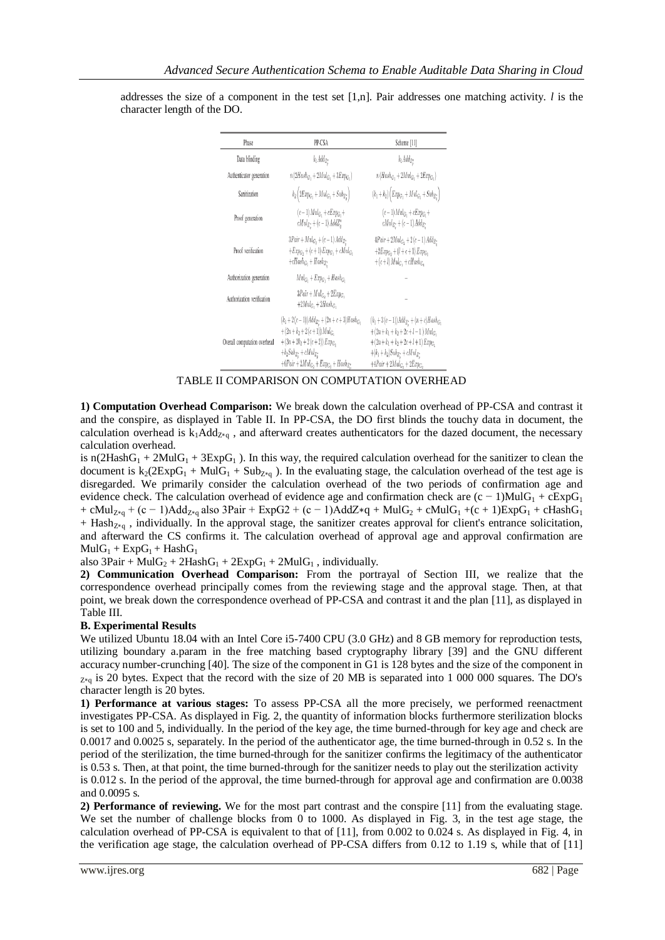| Phase                        | PP-CSA                                                                                                                                                                                    | Scheme [11]                                                                                                                                                                                                    |
|------------------------------|-------------------------------------------------------------------------------------------------------------------------------------------------------------------------------------------|----------------------------------------------------------------------------------------------------------------------------------------------------------------------------------------------------------------|
| Data blinding                | $k_1Add_{Z^*}$                                                                                                                                                                            | k <sub>1</sub> Add <sub>Z</sub> .                                                                                                                                                                              |
| Authenticator generation     | $n(2Hash_G, +2Mul_G, +3Exp_G,)$                                                                                                                                                           | $n(Hash_G, +2Mul_G, +2Exp_G, )$                                                                                                                                                                                |
| Sanitization                 | $k_2\left(2Exp_{G_1} + Mul_{G_1} + Sub_{Z_{o}^{*}}\right)$                                                                                                                                | $(k_1 + k_2) \left( Exp_{G_1} + Mul_{G_1} + Sub_{Z_q^*} \right)$                                                                                                                                               |
| Proof generation             | $(c-1)$ Mul <sub>C</sub> , + $cExp_{C_2}$ +<br>$cMul_{Z_{\alpha}^*}$ + $(c-1)$ $AddZ_{\alpha}^*$                                                                                          | $(c-1)$ $Mul_G$ , + $cExp_G$ , +<br>$cMul_{Z_{\alpha}^{*}} + (c-1) Add_{Z_{\alpha}^{*}}$                                                                                                                       |
| Proof verification           | $3Pair + Mul_{G_2} + (c - 1) Add_{Z^*}$<br>$+Exp_G$ , $+(c+1)Exp_G$ , $+cMul_G$<br>$+cHash_{G_1}+Hash_{Z_2}$                                                                              | $4Pair + 2MulG + 2(c - 1) AddZ$<br>$+2Exp_G + (l+c+1)Exp_G$<br>$+(c+l)$ Mul <sub>G</sub> , $+c$ <i>Hash<sub>G</sub></i> ,                                                                                      |
| Authorization generation     | $Mul_G$ , + $Exp_G$ , + $Hash_G$ ,                                                                                                                                                        |                                                                                                                                                                                                                |
| Authorization verification   | $3Pair + Mul_G$ , + $2Exp_G$ ,<br>$+2MulG1+2HashG1$                                                                                                                                       |                                                                                                                                                                                                                |
| Overall computation overhead | $(k_1+2(c-1))Add_{Z_n^*}+(2n+c+3)Hash_{G_1}$<br>$+(2n+k2+2(c+1))$ Mulc.<br>$+(3n+2k_2+2(c+2))Exp_G$<br>$+k_2Sub_{Z_o^*} + cMul_{Z_o^*}$<br>$+6Pair + 2Mul_{G_2} + Exp_{G_2} + Hash_{Z^*}$ | $(k_1+3(c-1))Add_{Z_{n}^*} + (n+c)Hash_{G_1}$<br>$+(2n+k_1+k_2+2c+l-1)$ Mulc.<br>$+(2n+k_1+k_2+2c+l+1)Exp_{G_1}$<br>$+(k_1+k_2)Sub_{Z_{\sigma}^{\ast}}+cMul_{Z_{\sigma}^{\ast}}$<br>$+4Pair + 2MulGn + 2ExpGn$ |

addresses the size of a component in the test set  $[1,n]$ . Pair addresses one matching activity. *l* is the character length of the DO.

TABLE II COMPARISON ON COMPUTATION OVERHEAD

**1) Computation Overhead Comparison:** We break down the calculation overhead of PP-CSA and contrast it and the conspire, as displayed in Table II. In PP-CSA, the DO first blinds the touchy data in document, the calculation overhead is  $k_1$ Add<sub>Z\*q</sub>, and afterward creates authenticators for the dazed document, the necessary calculation overhead.

is n(2HashG<sub>1</sub> + 2MulG<sub>1</sub> + 3ExpG<sub>1</sub>). In this way, the required calculation overhead for the sanitizer to clean the document is  $k_2(2ExpG_1 + MulG_1 + Sub_{Z*q})$ . In the evaluating stage, the calculation overhead of the test age is disregarded. We primarily consider the calculation overhead of the two periods of confirmation age and evidence check. The calculation overhead of evidence age and confirmation check are  $(c - 1)MulG_1 + cExpG_1$ + cMul<sub>Z\*q</sub> + (c − 1)Add<sub>Z\*q</sub> also 3Pair + ExpG2 + (c − 1)AddZ\*q + MulG<sub>2</sub> + cMulG<sub>1</sub> +(c + 1)ExpG<sub>1</sub> + cHashG<sub>1</sub>  $+$  Hash<sub>Z∗q</sub>, individually. In the approval stage, the sanitizer creates approval for client's entrance solicitation, and afterward the CS confirms it. The calculation overhead of approval age and approval confirmation are  $MulG_1 + ExpG_1 + HashG_1$ 

also  $3Pair + MulG_2 + 2HashG_1 + 2ExpG_1 + 2MulG_1$ , individually.

**2) Communication Overhead Comparison:** From the portrayal of Section III, we realize that the correspondence overhead principally comes from the reviewing stage and the approval stage. Then, at that point, we break down the correspondence overhead of PP-CSA and contrast it and the plan [11], as displayed in Table III.

### **B. Experimental Results**

We utilized Ubuntu 18.04 with an Intel Core i5-7400 CPU (3.0 GHz) and 8 GB memory for reproduction tests, utilizing boundary a.param in the free matching based cryptography library [39] and the GNU different accuracy number-crunching [40]. The size of the component in G1 is 128 bytes and the size of the component in  $_{Z*q}$  is 20 bytes. Expect that the record with the size of 20 MB is separated into 1 000 000 squares. The DO's character length is 20 bytes.

**1) Performance at various stages:** To assess PP-CSA all the more precisely, we performed reenactment investigates PP-CSA. As displayed in Fig. 2, the quantity of information blocks furthermore sterilization blocks is set to 100 and 5, individually. In the period of the key age, the time burned-through for key age and check are 0.0017 and 0.0025 s, separately. In the period of the authenticator age, the time burned-through in 0.52 s. In the period of the sterilization, the time burned-through for the sanitizer confirms the legitimacy of the authenticator is 0.53 s. Then, at that point, the time burned-through for the sanitizer needs to play out the sterilization activity is 0.012 s. In the period of the approval, the time burned-through for approval age and confirmation are 0.0038 and 0.0095 s.

**2) Performance of reviewing.** We for the most part contrast and the conspire [11] from the evaluating stage. We set the number of challenge blocks from 0 to 1000. As displayed in Fig. 3, in the test age stage, the calculation overhead of PP-CSA is equivalent to that of [11], from 0.002 to 0.024 s. As displayed in Fig. 4, in the verification age stage, the calculation overhead of PP-CSA differs from 0.12 to 1.19 s, while that of [11]